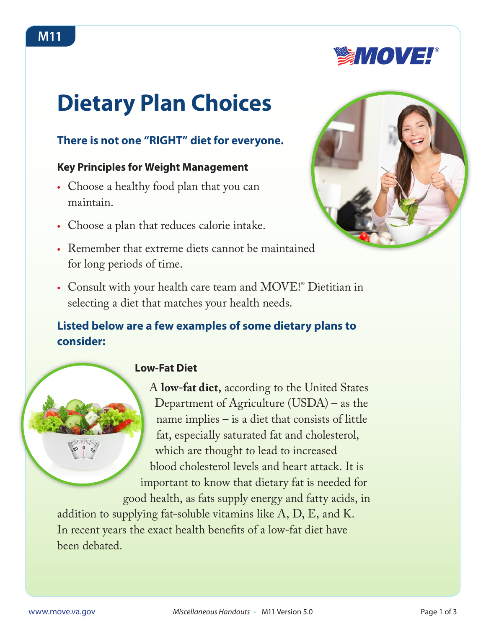# **Dietary Plan Choices**

# **There is not one "RIGHT" diet for everyone.**

## **Key Principles for Weight Management**

- Choose a healthy food plan that you can maintain.
- **•** Choose a plan that reduces calorie intake.
- **•** Remember that extreme diets cannot be maintained for long periods of time.



**SMOVE!** 

**•** Consult with your health care team and MOVE!® Dietitian in selecting a diet that matches your health needs.

# **Listed below are a few examples of some dietary plans to consider:**

# **Low-Fat Diet**

A **low-fat diet,** according to the United States Department of Agriculture (USDA) – as the name implies – is a diet that consists of little fat, especially saturated fat and cholesterol, which are thought to lead to increased blood cholesterol levels and heart attack. It is important to know that dietary fat is needed for good health, as fats supply energy and fatty acids, in

addition to supplying fat-soluble vitamins like A, D, E, and K. In recent years the exact health benefits of a low-fat diet have been debated.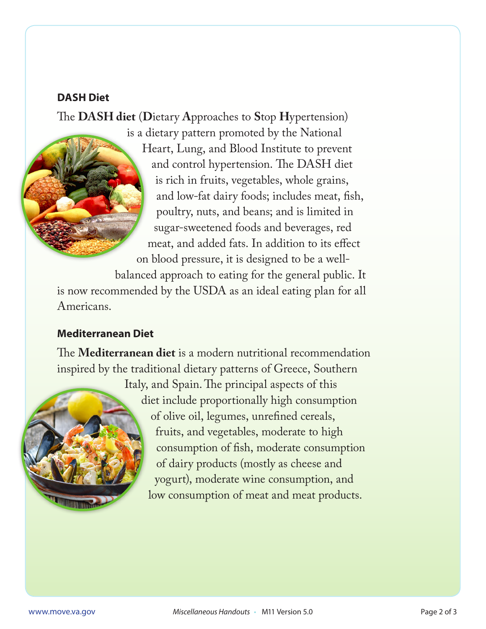#### **DASH Diet**

The **DASH diet** (**D**ietary **A**pproaches to **S**top **H**ypertension)

is a dietary pattern promoted by the National Heart, Lung, and Blood Institute to prevent and control [hypertension](http://en.wikipedia.org/wiki/Hypertension). The DASH diet is rich in fruits, vegetables, whole grains, and low-fat dairy foods; includes meat, fish, poultry, nuts, and beans; and is limited in sugar-sweetened foods and beverages, red meat, and added fats. In addition to its effect on blood pressure, it is designed to be a well-

balanced approach to eating for the general public. It is now recommended by the USDA as an ideal eating plan for all Americans.

## **Mediterranean Diet**

The **Mediterranean diet** is a modern nutritional recommendation inspired by the traditional dietary patterns of [Greece](http://en.wikipedia.org/wiki/Greece), [Southern](http://en.wikipedia.org/wiki/Southern_Italy) 



[Italy](http://en.wikipedia.org/wiki/Southern_Italy), and [Spain](http://en.wikipedia.org/wiki/Spain).The principal aspects of this diet include proportionally high consumption of [olive oil,](http://en.wikipedia.org/wiki/Olive_oil) [legumes,](http://en.wikipedia.org/wiki/Legume) [unrefined cereals,](http://en.wikipedia.org/wiki/Whole_foods) [fruits,](http://en.wikipedia.org/wiki/Fruit) and [vegetables,](http://en.wikipedia.org/wiki/Vegetable) moderate to high consumption of fish, moderate consumption of dairy products (mostly as cheese and yogurt), moderate wine consumption, and low consumption of meat and meat products.